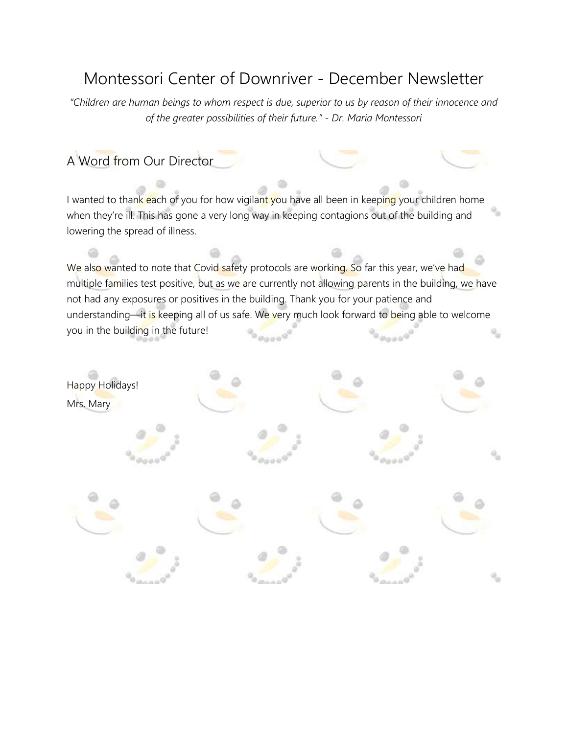# Montessori Center of Downriver - December Newsletter

*"Children are human beings to whom respect is due, superior to us by reason of their innocence and of the greater possibilities of their future." - Dr. Maria Montessori*

# A Word from Our Director

I wanted to thank each of you for how vigilant you have all been in keeping your children home when they're ill. This has gone a very long way in keeping contagions out of the building and lowering the spread of illness.

We also wanted to note that Covid safety protocols are working. So far this year, we've had multiple families test positive, but as we are currently not allowing parents in the building, we have not had any exposures or positives in the building. Thank you for your patience and understanding—it is keeping all of us safe. We very much look forward to being able to welcome you in the building in the future!

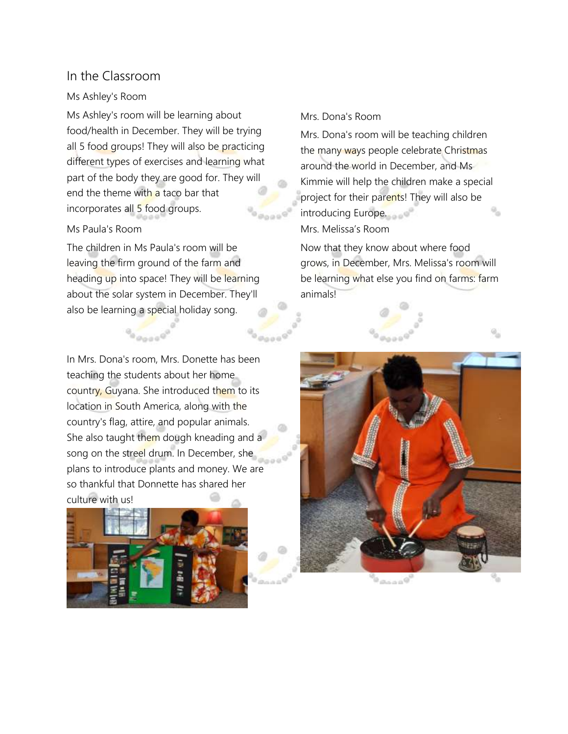### In the Classroom

#### Ms Ashley's Room

Ms Ashley's room will be learning about food/health in December. They will be trying all 5 food groups! They will also be practicing different types of exercises and learning what part of the body they are good for. They will end the theme with a taco bar that incorporates all 5 food groups.

#### Ms Paula's Room

The children in Ms Paula's room will be leaving the firm ground of the farm and heading up into space! They will be learning about the solar system in December. They'll also be learning a special holiday song.

### Mrs. Dona's Room

Mrs. Dona's room will be teaching children the many ways people celebrate Christmas around the world in December, and Ms Kimmie will help the children make a special project for their parents! They will also be introducing Europe. Mrs. Melissa's Room

Now that they know about where food grows, in December, Mrs. Melissa's room will be learning what else you find on farms: farm animals!

In Mrs. Dona's room, Mrs. Donette has been teaching the students about her home country, Guyana. She introduced them to its location in South America, along with the country's flag, attire, and popular animals. She also taught them dough kneading and a song on the streel drum. In December, she plans to introduce plants and money. We are so thankful that Donnette has shared her culture with us!



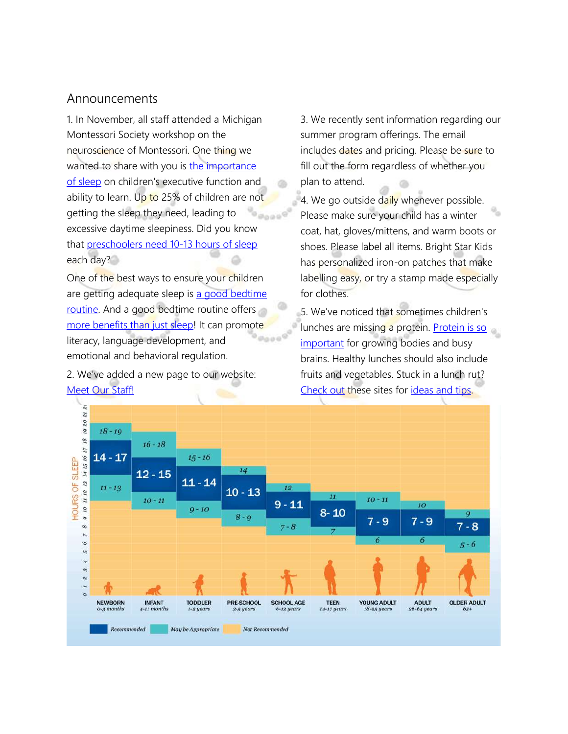### Announcements

1. In November, all staff attended a Michigan Montessori Society workshop on the neuroscience of Montessori. One thing we wanted to share with you is [the importance](https://www.sleepfoundation.org/children-and-sleep/sleep-and-school-performance)  [of sleep](https://www.sleepfoundation.org/children-and-sleep/sleep-and-school-performance) on children's executive function and ability to learn. Up to 25% of children are not getting the sleep they need, leading to excessive daytime sleepiness. Did you know that [preschoolers need 10-13 hours of sleep](https://www.healthychildren.org/English/healthy-living/sleep/Pages/healthy-sleep-habits-how-many-hours-does-your-child-need.aspx) each day?

One of the best ways to ensure your children are getting adequate sleep is [a good bedtime](https://www.sleepfoundation.org/children-and-sleep/bedtime-routine)  [routine.](https://www.sleepfoundation.org/children-and-sleep/bedtime-routine) And a good bedtime routine offers [more benefits than just sleep!](https://www.ncbi.nlm.nih.gov/pmc/articles/PMC6587181/) It can promote literacy, language development, and ka as a emotional and behavioral regulation.

2. We've added a new page to our website: [Meet Our Staff!](http://montessoridownriver.com/meet-our-staff/)

3. We recently sent information regarding our summer program offerings. The email includes dates and pricing. Please be sure to fill out the form regardless of whether you plan to attend.

4. We go outside daily whenever possible. Please make sure your child has a winter coat, hat, gloves/mittens, and warm boots or shoes. Please label all items. Bright Star Kids has personalized iron-on patches that make labelling easy, or try a stamp made especially for clothes.

5. We've noticed that sometimes children's lunches are missing a protein. Protein is so [important](https://theactivefamily.org/why-is-protein-important/) for growing bodies and busy brains. Healthy lunches should also include fruits and vegetables. Stuck in a lunch rut? [Check out](https://www.strong4life.com/en/feeding-and-nutrition/mealtimes/healthy-packed-lunch-ideas-for-2-to-5-year-olds) these sites for [ideas and tips.](https://pickyeaterblog.com/healthy-lunch-ideas-for-toddlers/https:/pickyeaterblog.com/healthy-lunch-ideas-for-toddlers/)

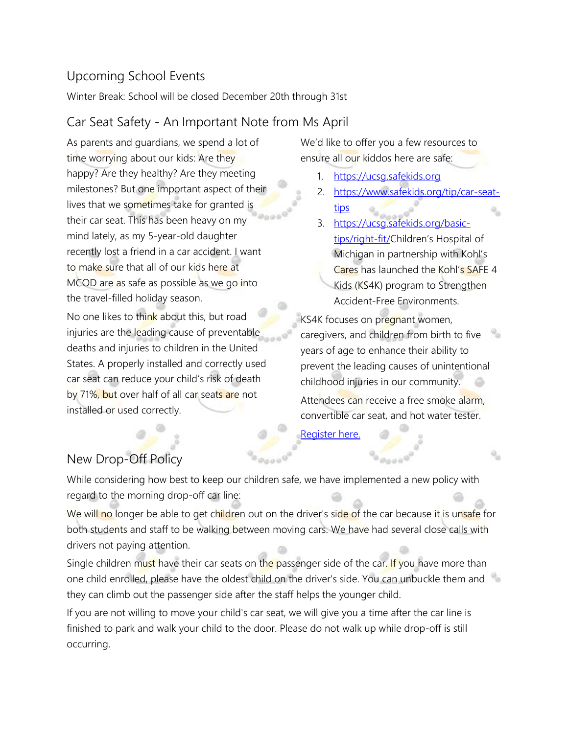# Upcoming School Events

Winter Break: School will be closed December 20th through 31st

# Car Seat Safety - An Important Note from Ms April

As parents and guardians, we spend a lot of time worrying about our kids: Are they happy? Are they healthy? Are they meeting milestones? But one important aspect of their lives that we sometimes take for granted is their car seat. This has been heavy on my mind lately, as my 5-year-old daughter recently lost a friend in a car accident. I want to make sure that all of our kids here at MCOD are as safe as possible as we go into the travel-filled holiday season.

No one likes to think about this, but road injuries are the leading cause of preventable deaths and injuries to children in the United States. A properly installed and correctly used car seat can reduce your child's risk of death by 71%, but over half of all car seats are not installed or used correctly.

We'd like to offer you a few resources to ensure all our kiddos here are safe:

- 1. [https://ucsg.safekids.org](https://ucsg.safekids.org/)
- 2. [https://www.safekids.org/tip/car-seat](https://www.safekids.org/tip/car-seat-tips)[tips](https://www.safekids.org/tip/car-seat-tips)
- 3. [https://ucsg.safekids.org/basic](https://ucsg.safekids.org/basic-tips/right-fit/)[tips/right-fit/](https://ucsg.safekids.org/basic-tips/right-fit/)Children's Hospital of Michigan in partnership with Kohl's Cares has launched the Kohl's SAFE 4 Kids (KS4K) program to Strengthen Accident-Free Environments.

KS4K focuses on pregnant women, caregivers, and children from birth to five years of age to enhance their ability to prevent the leading causes of unintentional childhood injuries in our community.

Attendees can receive a free smoke alarm, convertible car seat, and hot water tester.

[Register here.](https://www.childrensdmc.org/KS4K)

# New Drop-Off Policy

While considering how best to keep our children safe, we have implemented a new policy with regard to the morning drop-off car line:

We will no longer be able to get children out on the driver's side of the car because it is unsafe for both students and staff to be walking between moving cars. We have had several close calls with drivers not paying attention.

Single children must have their car seats on the passenger side of the car. If you have more than one child enrolled, please have the oldest child on the driver's side. You can unbuckle them and they can climb out the passenger side after the staff helps the younger child.

If you are not willing to move your child's car seat, we will give you a time after the car line is finished to park and walk your child to the door. Please do not walk up while drop-off is still occurring.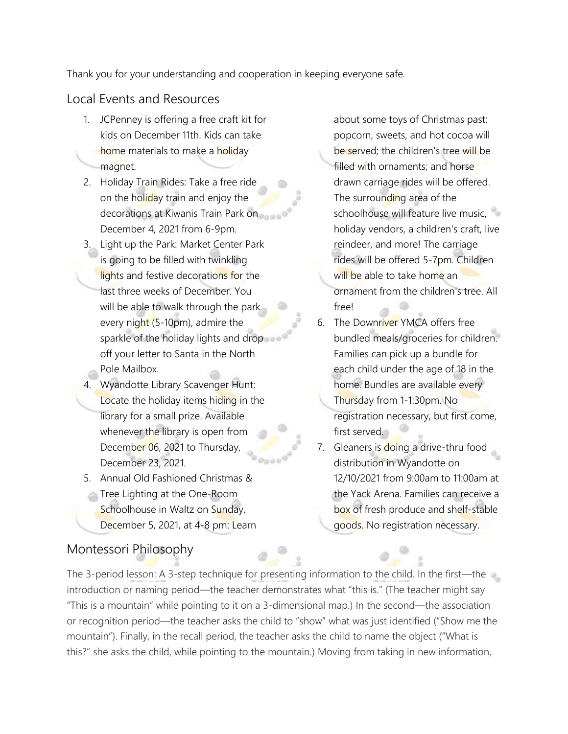Thank you for your understanding and cooperation in keeping everyone safe.

# Local Events and Resources

- 1. JCPenney is offering a free craft kit for kids on December 11th. Kids can take home materials to make a holiday magnet.
- 2. Holiday Train Rides: Take a free ride on the holiday train and enjoy the decorations at Kiwanis Train Park on December 4, 2021 from 6-9pm.
- 3. Light up the Park: Market Center Park is going to be filled with twinkling lights and festive decorations for the last three weeks of December. You will be able to walk through the park every night (5-10pm), admire the sparkle of the holiday lights and drop off your letter to Santa in the North Pole Mailbox.
- 4. Wyandotte Library Scavenger Hunt: Locate the holiday items hiding in the library for a small prize. Available whenever the library is open from December 06, 2021 to Thursday, December 23, 2021.
- 5. Annual Old Fashioned Christmas &
- Tree Lighting at the One-Room Schoolhouse in Waltz on Sunday, December 5, 2021, at 4-8 pm: Learn

# Montessori Philosophy

about some toys of Christmas past; popcorn, sweets, and hot cocoa will be served; the children's tree will be filled with ornaments; and horse drawn carriage rides will be offered. The surrounding area of the schoolhouse will feature live music, holiday vendors, a children's craft, live reindeer, and more! The carriage rides will be offered 5-7pm. Children will be able to take home an ornament from the children's tree. All free!

- 6. The Downriver YMCA offers free bundled meals/groceries for children. Families can pick up a bundle for each child under the age of 18 in the home. Bundles are available every Thursday from 1-1:30pm. No registration necessary, but first come, first served.
- 7. Gleaners is doing a drive-thru food distribution in Wyandotte on 12/10/2021 from 9:00am to 11:00am at the Yack Arena. Families can receive a box of fresh produce and shelf-stable goods. No registration necessary.

The 3-period lesson: A 3-step technique for presenting information to the child. In the first—the introduction or naming period—the teacher demonstrates what "this is." (The teacher might say "This is a mountain" while pointing to it on a 3-dimensional map.) In the second—the association or recognition period—the teacher asks the child to "show" what was just identified ("Show me the mountain"). Finally, in the recall period, the teacher asks the child to name the object ("What is this?" she asks the child, while pointing to the mountain.) Moving from taking in new information,